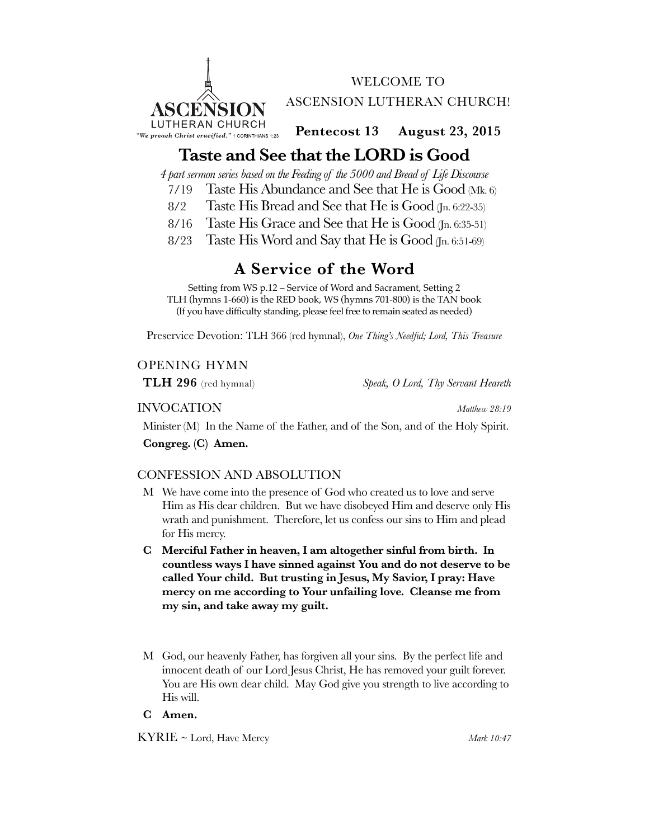

WELCOME TO ASCENSION LUTHERAN CHURCH!

**Pentecost 13 August 23, 2015**

# **Taste and See that the LORD is Good**

*4 part sermon series based on the Feeding of the 5000 and Bread of Life Discourse*

- 7/19 Taste His Abundance and See that He is Good (Mk. 6)
- 8/2 Taste His Bread and See that He is Good (Jn. 6:22-35)
- 8/16 Taste His Grace and See that He is Good (Jn. 6:35-51)
- 8/23 Taste His Word and Say that He is Good (Jn. 6:51-69)

# **A Service of the Word**

Setting from WS p.12 – Service of Word and Sacrament, Setting 2 TLH (hymns 1-660) is the RED book, WS (hymns 701-800) is the TAN book (If you have difficulty standing, please feel free to remain seated as needed)

Preservice Devotion: TLH 366 (red hymnal), *One Thing's Needful; Lord, This Treasure*

# OPENING HYMN

**TLH 296** (red hymnal) *Speak, O Lord, Thy Servant Heareth*

## INVOCATION *Matthew 28:19*

Minister (M) In the Name of the Father, and of the Son, and of the Holy Spirit.

**Congreg. (C) Amen.**

# CONFESSION AND ABSOLUTION

- M We have come into the presence of God who created us to love and serve Him as His dear children. But we have disobeyed Him and deserve only His wrath and punishment. Therefore, let us confess our sins to Him and plead for His mercy.
- **C Merciful Father in heaven, I am altogether sinful from birth. In countless ways I have sinned against You and do not deserve to be called Your child. But trusting in Jesus, My Savior, I pray: Have mercy on me according to Your unfailing love. Cleanse me from my sin, and take away my guilt.**
- M God, our heavenly Father, has forgiven all your sins. By the perfect life and innocent death of our Lord Jesus Christ, He has removed your guilt forever. You are His own dear child. May God give you strength to live according to His will.

## **C Amen.**

KYRIE ~ Lord, Have Mercy *Mark 10:47*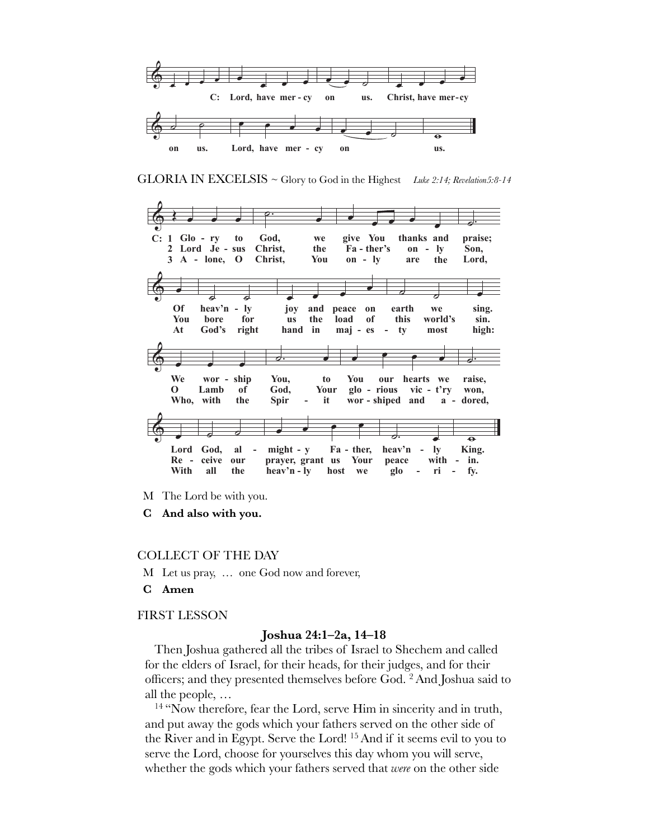

GLORIA IN EXCELSIS ~ Glory to God in the Highest Luke 2:14; Revelation5:8-14



- M The Lord be with you.
- $\bf C$ And also with you.

## **COLLECT OF THE DAY**

- M Let us pray, ... one God now and forever,
- C Amen

## **FIRST LESSON**

## Joshua 24:1-2a, 14-18

Then Joshua gathered all the tribes of Israel to Shechem and called for the elders of Israel, for their heads, for their judges, and for their officers; and they presented themselves before God. <sup>2</sup> And Joshua said to all the people,  $\dots$ 

<sup>14</sup> "Now therefore, fear the Lord, serve Him in sincerity and in truth, and put away the gods which your fathers served on the other side of the River and in Egypt. Serve the Lord! <sup>15</sup> And if it seems evil to you to serve the Lord, choose for yourselves this day whom you will serve, whether the gods which your fathers served that were on the other side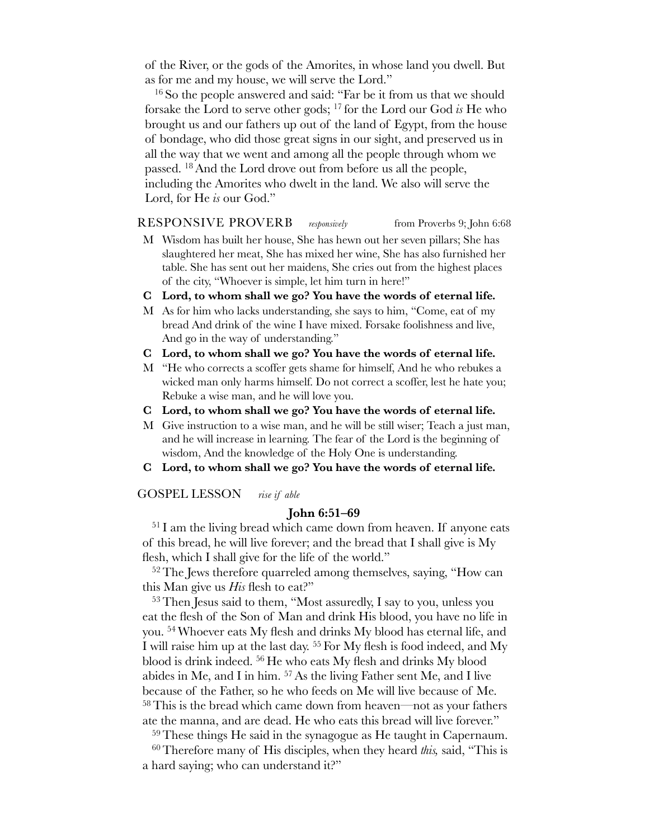of the River, or the gods of the Amorites, in whose land you dwell. But as for me and my house, we will serve the Lord."

<sup>16</sup> So the people answered and said: "Far be it from us that we should forsake the Lord to serve other gods; 17 for the Lord our God *is* He who brought us and our fathers up out of the land of Egypt, from the house of bondage, who did those great signs in our sight, and preserved us in all the way that we went and among all the people through whom we passed. 18And the Lord drove out from before us all the people, including the Amorites who dwelt in the land. We also will serve the Lord, for He *is* our God."

## RESPONSIVE PROVERB *responsively* from Proverbs 9; John 6:68

- M Wisdom has built her house, She has hewn out her seven pillars; She has slaughtered her meat, She has mixed her wine, She has also furnished her table. She has sent out her maidens, She cries out from the highest places of the city, "Whoever is simple, let him turn in here!"
- **C Lord, to whom shall we go? You have the words of eternal life.**
- M As for him who lacks understanding, she says to him, "Come, eat of my bread And drink of the wine I have mixed. Forsake foolishness and live, And go in the way of understanding."
- **C Lord, to whom shall we go? You have the words of eternal life.**
- M "He who corrects a scoffer gets shame for himself, And he who rebukes a wicked man only harms himself. Do not correct a scoffer, lest he hate you; Rebuke a wise man, and he will love you.
- **C Lord, to whom shall we go? You have the words of eternal life.**
- M Give instruction to a wise man, and he will be still wiser; Teach a just man, and he will increase in learning. The fear of the Lord is the beginning of wisdom, And the knowledge of the Holy One is understanding.
- **C Lord, to whom shall we go? You have the words of eternal life.**

GOSPEL LESSON *rise if able*

## **John 6:51–69**

<sup>51</sup> I am the living bread which came down from heaven. If anyone eats of this bread, he will live forever; and the bread that I shall give is My flesh, which I shall give for the life of the world."

<sup>52</sup> The Jews therefore quarreled among themselves, saying, "How can this Man give us *His* flesh to eat?"

53Then Jesus said to them, "Most assuredly, I say to you, unless you eat the flesh of the Son of Man and drink His blood, you have no life in you. 54 Whoever eats My flesh and drinks My blood has eternal life, and I will raise him up at the last day. 55 For My flesh is food indeed, and My blood is drink indeed. 56 He who eats My flesh and drinks My blood abides in Me, and I in him. 57As the living Father sent Me, and I live because of the Father, so he who feeds on Me will live because of Me. 58This is the bread which came down from heaven—not as your fathers ate the manna, and are dead. He who eats this bread will live forever."

59These things He said in the synagogue as He taught in Capernaum.

60Therefore many of His disciples, when they heard *this,* said, "This is a hard saying; who can understand it?"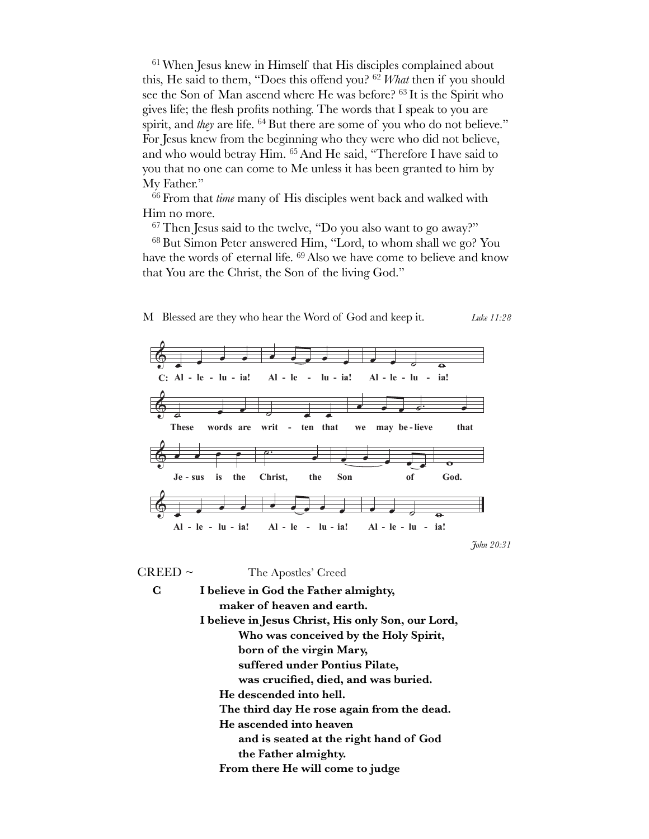<sup>61</sup> When Jesus knew in Himself that His disciples complained about this, He said to them, "Does this offend you? <sup>62</sup> What then if you should see the Son of Man ascend where He was before? <sup>63</sup> It is the Spirit who gives life; the flesh profits nothing. The words that I speak to you are spirit, and *they* are life. <sup>64</sup> But there are some of you who do not believe." For Jesus knew from the beginning who they were who did not believe, and who would betray Him. <sup>65</sup> And He said, "Therefore I have said to you that no one can come to Me unless it has been granted to him by My Father."

 $^{66}$  From that *time* many of His disciples went back and walked with Him no more.

<sup>67</sup> Then Jesus said to the twelve, "Do you also want to go away?"

<sup>68</sup> But Simon Peter answered Him, "Lord, to whom shall we go? You have the words of eternal life. <sup>69</sup> Also we have come to believe and know that You are the Christ, the Son of the living God."



 $CREED$  ~ The Apostles' Creed

 $\mathbf C$ 

I believe in God the Father almighty, maker of heaven and earth. I believe in Jesus Christ, His only Son, our Lord, Who was conceived by the Holy Spirit, born of the virgin Mary, suffered under Pontius Pilate, was crucified, died, and was buried. He descended into hell. The third day He rose again from the dead. He ascended into heaven and is seated at the right hand of God the Father almighty. From there He will come to judge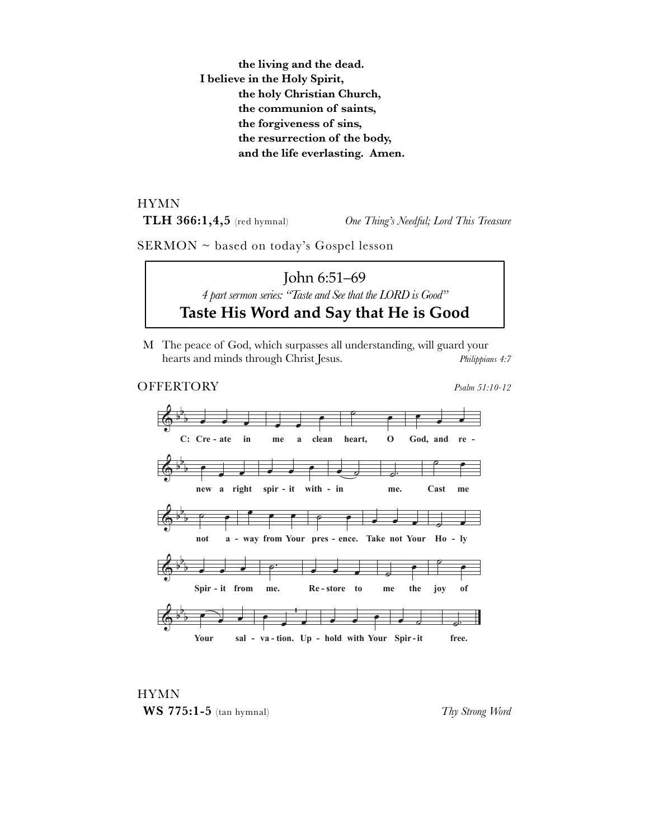the living and the dead. I believe in the Holy Spirit, the holy Christian Church, the communion of saints, the forgiveness of sins, the resurrection of the body, and the life everlasting. Amen.

**HYMN** TLH  $366:1,4,5$  (red hymnal)

One Thing's Needful; Lord This Treasure

SERMON ~ based on today's Gospel lesson

John 6:51–69 4 part sermon series: "Taste and See that the LORD is Good" Taste His Word and Say that He is Good

M The peace of God, which surpasses all understanding, will guard your hearts and minds through Christ Jesus. Philippians 4:7

## **OFFERTORY**

Psalm 51:10-12





Thy Strong Word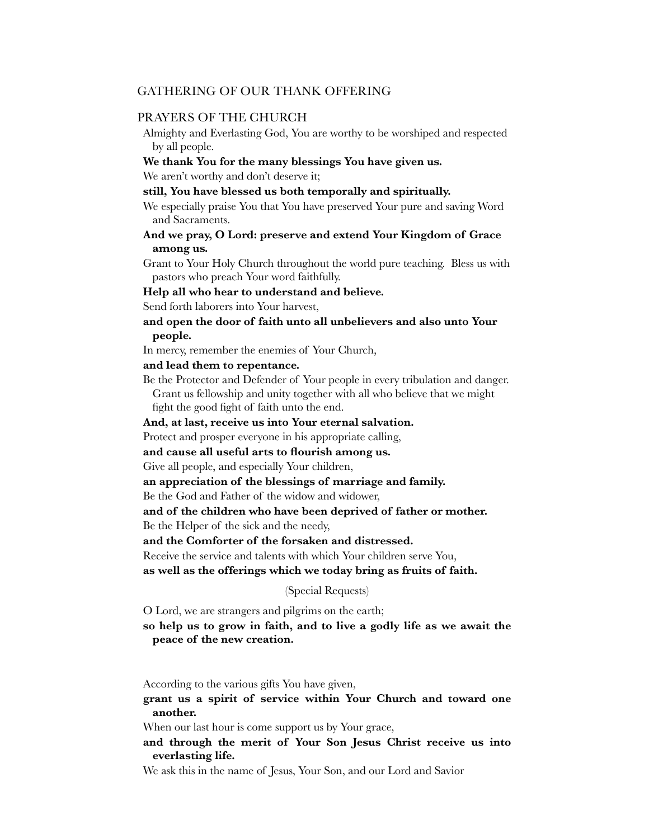## GATHERING OF OUR THANK OFFERING

## PRAYERS OF THE CHURCH

Almighty and Everlasting God, You are worthy to be worshiped and respected by all people.

#### **We thank You for the many blessings You have given us.**

We aren't worthy and don't deserve it;

**still, You have blessed us both temporally and spiritually.**

We especially praise You that You have preserved Your pure and saving Word and Sacraments.

## **And we pray, O Lord: preserve and extend Your Kingdom of Grace among us.**

Grant to Your Holy Church throughout the world pure teaching. Bless us with pastors who preach Your word faithfully.

## **Help all who hear to understand and believe.**

Send forth laborers into Your harvest,

## **and open the door of faith unto all unbelievers and also unto Your people.**

In mercy, remember the enemies of Your Church,

### **and lead them to repentance.**

Be the Protector and Defender of Your people in every tribulation and danger. Grant us fellowship and unity together with all who believe that we might fight the good fight of faith unto the end.

#### **And, at last, receive us into Your eternal salvation.**

Protect and prosper everyone in his appropriate calling,

**and cause all useful arts to flourish among us.**

Give all people, and especially Your children,

## **an appreciation of the blessings of marriage and family.**

Be the God and Father of the widow and widower,

#### **and of the children who have been deprived of father or mother.**

Be the Helper of the sick and the needy,

**and the Comforter of the forsaken and distressed.**

Receive the service and talents with which Your children serve You,

**as well as the offerings which we today bring as fruits of faith.** 

#### (Special Requests)

O Lord, we are strangers and pilgrims on the earth;

**so help us to grow in faith, and to live a godly life as we await the peace of the new creation.**

According to the various gifts You have given,

## **grant us a spirit of service within Your Church and toward one another.**

When our last hour is come support us by Your grace,

**and through the merit of Your Son Jesus Christ receive us into everlasting life.**

We ask this in the name of Jesus, Your Son, and our Lord and Savior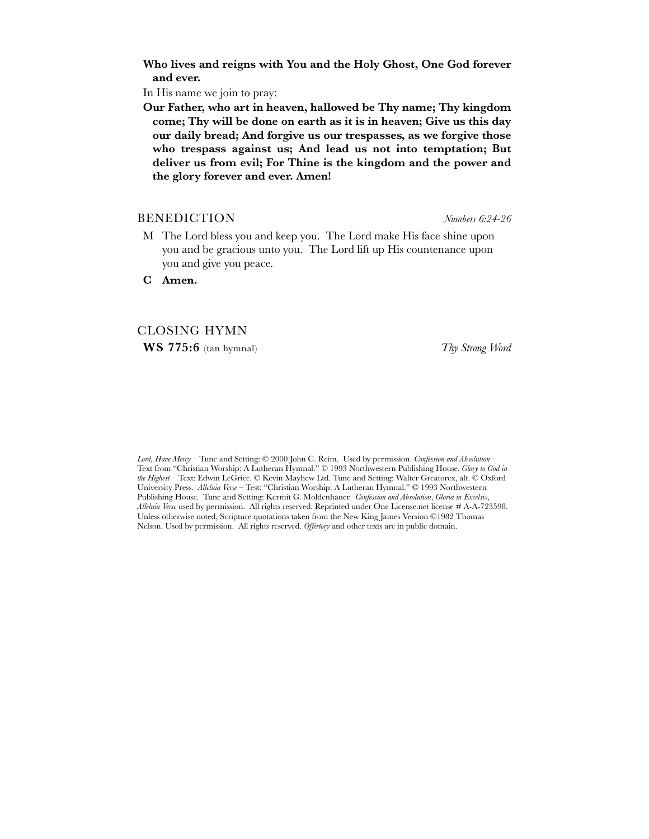**Who lives and reigns with You and the Holy Ghost, One God forever and ever.**

In His name we join to pray:

**Our Father, who art in heaven, hallowed be Thy name; Thy kingdom come; Thy will be done on earth as it is in heaven; Give us this day our daily bread; And forgive us our trespasses, as we forgive those who trespass against us; And lead us not into temptation; But deliver us from evil; For Thine is the kingdom and the power and the glory forever and ever. Amen!**

## BENEDICTION *Numbers 6:24-26*

M The Lord bless you and keep you. The Lord make His face shine upon you and be gracious unto you. The Lord lift up His countenance upon you and give you peace.

**C Amen.**

## CLOSING HYMN

**WS 775:6** (tan hymnal) *Thy Strong Word*

*Lord, Have Mercy* – Tune and Setting: © 2000 John C. Reim. Used by permission. *Confession and Absolution* – Text from "Christian Worship: A Lutheran Hymnal." © 1993 Northwestern Publishing House. *Glory to God in the Highest* – Text: Edwin LeGrice. © Kevin Mayhew Ltd. Tune and Setting: Walter Greatorex, alt. © Oxford University Press. *Alleluia Verse* – Test: "Christian Worship: A Lutheran Hymnal." © 1993 Northwestern Publishing House. Tune and Setting: Kermit G. Moldenhauer. *Confession and Absolution*, *Gloria in Excelsis*, *Alleluia Verse* used by permission. All rights reserved. Reprinted under One License.net license # A-A-723598. Unless otherwise noted, Scripture quotations taken from the New King James Version ©1982 Thomas Nelson. Used by permission. All rights reserved. *Offertory* and other texts are in public domain.